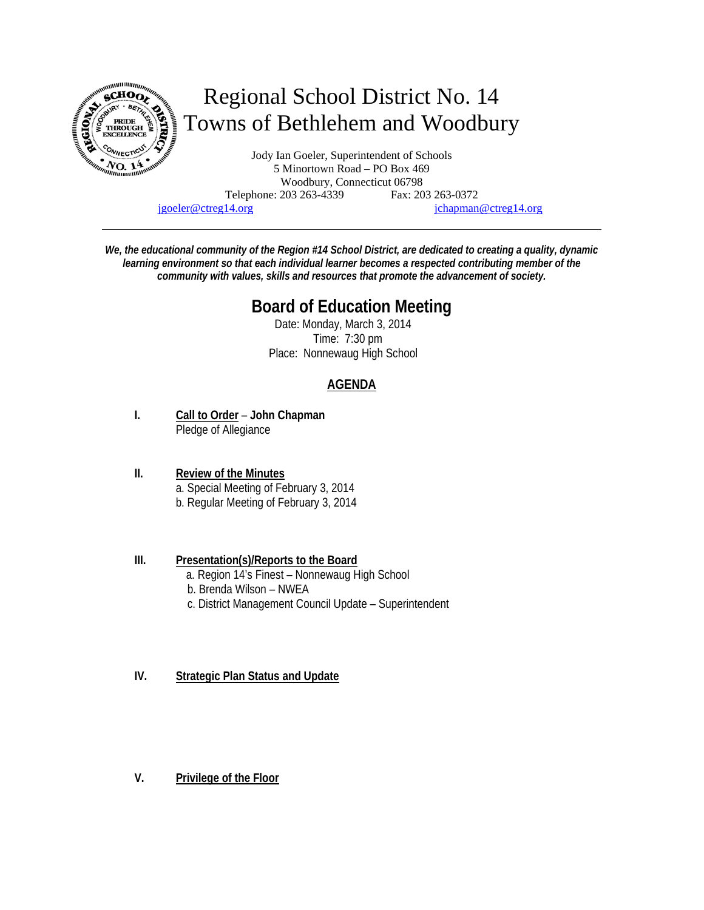

Telephone: 203 263-4339 Fax: 203 263-0372

jgoeler@ctreg14.org jchapman@ctreg14.org

*We, the educational community of the Region #14 School District, are dedicated to creating a quality, dynamic learning environment so that each individual learner becomes a respected contributing member of the community with values, skills and resources that promote the advancement of society.* 

# **Board of Education Meeting**

 Date: Monday, March 3, 2014 Time: 7:30 pm Place: Nonnewaug High School

# **AGENDA**

**I. Call to Order** – **John Chapman** Pledge of Allegiance

#### **II. Review of the Minutes** a. Special Meeting of February 3, 2014 b. Regular Meeting of February 3, 2014

### **III. Presentation(s)/Reports to the Board**

- a. Region 14's Finest Nonnewaug High School
- b. Brenda Wilson NWEA
- c. District Management Council Update Superintendent

## **IV. Strategic Plan Status and Update**

**V. Privilege of the Floor**